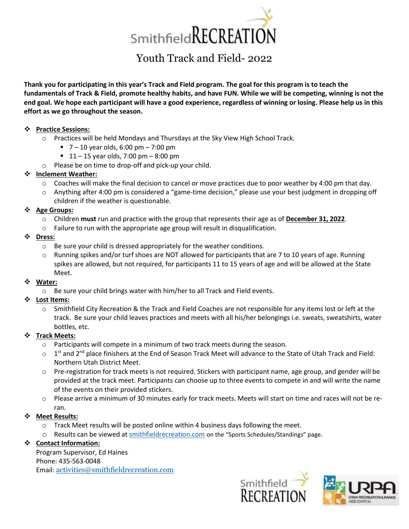

# Youth Track and Field- 2022

**Thank you for participating in this year's Track and Field program. The goal for this program is to teach the fundamentals of Track & Field, promote healthy habits, and have FUN. While we will be competing, winning is not the end goal. We hope each participant will have a good experience, regardless of winning or losing. Please help us in this effort as we go throughout the season.** 

#### ❖ **Practice Sessions:**

- o Practices will be held Mondays and Thursdays at the Sky View High School Track.
	- $\blacksquare$  7 10 year olds, 6:00 pm 7:00 pm
	- $\blacksquare$  11 15 year olds, 7:00 pm 8:00 pm
- o Please be on time to drop-off and pick-up your child.

#### ❖ **Inclement Weather:**

- $\circ$  Coaches will make the final decision to cancel or move practices due to poor weather by 4:00 pm that day.
- o Anything after 4:00 pm is considered a "game-time decision," please use your best judgment in dropping off children if the weather is questionable.

#### ❖ **Age Groups:**

- o Children **must** run and practice with the group that represents their age as of **December 31, 2022**.
- o Failure to run with the appropriate age group will result in disqualification.
- ❖ **Dress:**
	- o Be sure your child is dressed appropriately for the weather conditions.
	- Running spikes and/or turf shoes are NOT allowed for participants that are 7 to 10 years of age. Running spikes are allowed, but not required, for participants 11 to 15 years of age and will be allowed at the State Meet.

#### ❖ **Water:**

 $\circ$  Be sure your child brings water with him/her to all Track and Field events.

# ❖ **Lost Items:**

Smithfield City Recreation & the Track and Field Coaches are not responsible for any items lost or left at the track. Be sure your child leaves practices and meets with all his/her belongings i.e. sweats, sweatshirts, water bottles, etc.

# ❖ **Track Meets:**

- o Participants will compete in a minimum of two track meets during the season.
- $\circ$  1<sup>st</sup> and 2<sup>nd</sup> place finishers at the End of Season Track Meet will advance to the State of Utah Track and Field: Northern Utah District Meet.
- $\circ$  Pre-registration for track meets is not required. Stickers with participant name, age group, and gender will be provided at the track meet. Participants can choose up to three events to compete in and will write the name of the events on their provided stickers.
- $\circ$  Please arrive a minimum of 30 minutes early for track meets. Meets will start on time and races will not be reran.

#### ❖ **Meet Results:**

- $\circ$  Track Meet results will be posted online within 4 business days following the meet.
- o Results can be viewed a[t smithfieldr](http://www.laytoncity.org/)ecreation.com on the "Sports Schedules/Standings" page.

# ❖ **Contact Information:**

Program Supervisor, Ed Haines Phone: 435-563-0048 Email: [activities@smithfieldrecreation.com](mailto:activities@smithfieldrecreation.com)